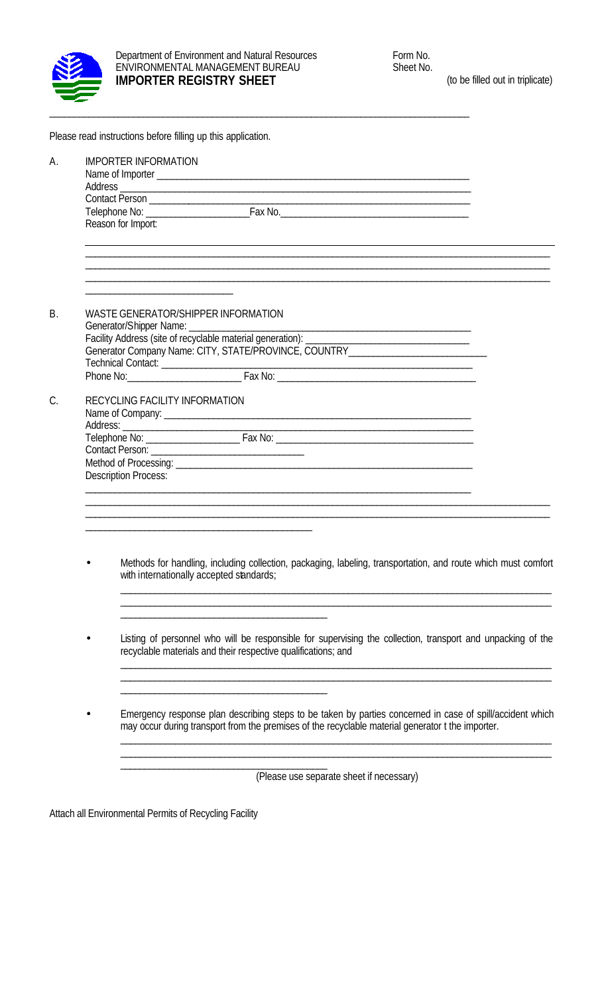

|           | Please read instructions before filling up this application.                                                                                                                                                   |
|-----------|----------------------------------------------------------------------------------------------------------------------------------------------------------------------------------------------------------------|
| А.        | <b>IMPORTER INFORMATION</b><br>Reason for Import:                                                                                                                                                              |
| <b>B.</b> | WASTE GENERATOR/SHIPPER INFORMATION<br>Facility Address (site of recyclable material generation): ______________________<br>Generator Company Name: CITY, STATE/PROVINCE, COUNTRY___________________________   |
| C.        | RECYCLING FACILITY INFORMATION<br>Name of Company: <u>example and a series of company:</u><br><b>Description Process:</b>                                                                                      |
|           | Methods for handling, including collection, packaging, labeling, transportation, and route which must comfort<br>with internationally accepted sandards;                                                       |
|           | Listing of personnel who will be responsible for supervising the collection, transport and unpacking of the<br>recyclable materials and their respective qualifications; and                                   |
|           | Emergency response plan describing steps to be taken by parties concerned in case of spill/accident which<br>may occur during transport from the premises of the recyclable material generator t the importer. |

(Please use separate sheet if necessary)

\_\_\_\_\_\_\_\_\_\_\_\_\_\_\_\_\_\_\_\_\_\_\_\_\_\_\_\_\_\_\_\_\_\_\_\_\_\_\_\_\_\_\_\_\_\_\_\_\_\_\_\_\_\_\_\_\_\_\_\_\_\_\_\_\_\_\_\_\_\_\_\_\_\_\_\_\_\_\_\_\_\_\_\_\_\_\_ \_\_\_\_\_\_\_\_\_\_\_\_\_\_\_\_\_\_\_\_\_\_\_\_\_\_\_\_\_\_\_\_\_\_\_\_\_\_\_\_\_\_\_\_\_\_\_\_\_\_\_\_\_\_\_\_\_\_\_\_\_\_\_\_\_\_\_\_\_\_\_\_\_\_\_\_\_\_\_\_\_\_\_\_\_\_\_

Attach all Environmental Permits of Recycling Facility

\_\_\_\_\_\_\_\_\_\_\_\_\_\_\_\_\_\_\_\_\_\_\_\_\_\_\_\_\_\_\_\_\_\_\_\_\_\_\_\_\_\_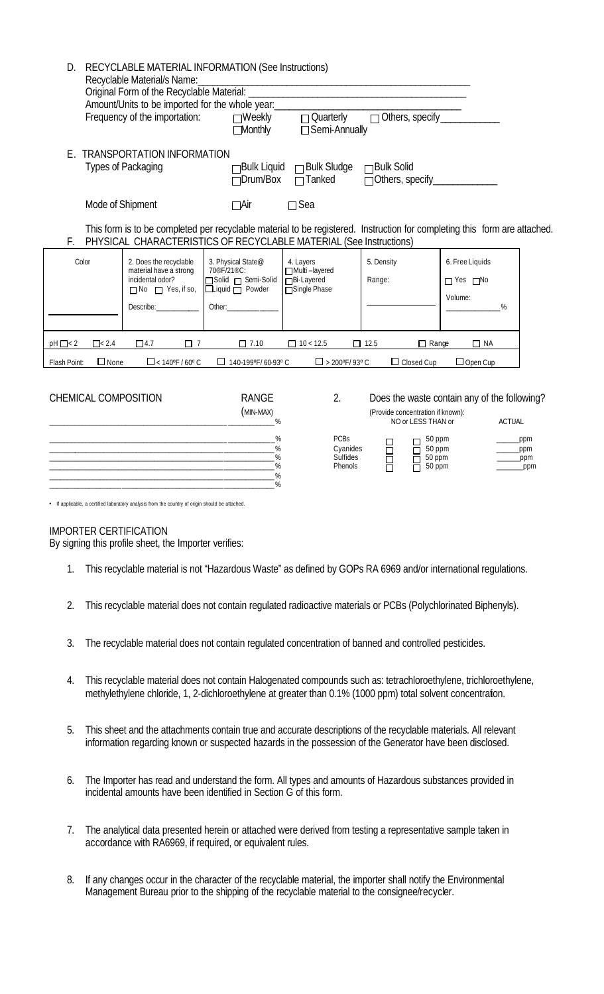| D.            | RECYCLABLE MATERIAL INFORMATION (See Instructions)<br>Recyclable Material/s Name:<br>Amount/Units to be imported for the whole year: |                                                                                                                                                                                                 |                                                                                                                                                                                                                                                                                                                                                   |                                                                  |                             |                                                         |  |
|---------------|--------------------------------------------------------------------------------------------------------------------------------------|-------------------------------------------------------------------------------------------------------------------------------------------------------------------------------------------------|---------------------------------------------------------------------------------------------------------------------------------------------------------------------------------------------------------------------------------------------------------------------------------------------------------------------------------------------------|------------------------------------------------------------------|-----------------------------|---------------------------------------------------------|--|
|               |                                                                                                                                      | Frequency of the importation:                                                                                                                                                                   | $\Box$ Weekly<br>$\Box$ Monthly                                                                                                                                                                                                                                                                                                                   | □ Quarterly<br>□ Semi-Annually                                   | □ Others, specify ______    |                                                         |  |
| F.            |                                                                                                                                      | <b>TRANSPORTATION INFORMATION</b><br>Types of Packaging                                                                                                                                         | $\Box$ Drum/Box                                                                                                                                                                                                                                                                                                                                   | □Bulk Liquid □Bulk Sludge □Bulk Solid<br>$\Box$ Tanked           |                             |                                                         |  |
| F.            | Mode of Shipment                                                                                                                     | This form is to be completed per recyclable material to be registered. Instruction for completing this form are attached.<br>PHYSICAL CHARACTERISTICS OF RECYCLABLE MATERIAL (See Instructions) | $\Box$ Air                                                                                                                                                                                                                                                                                                                                        | $\square$ Sea                                                    |                             |                                                         |  |
| Color         |                                                                                                                                      | 2. Does the recyclable<br>material have a strong<br>incidental odor?<br>$\Box$ No $\Box$ Yes, if so,<br>Describe:                                                                               | 3. Physical State@<br>70 <sup>®</sup> F/21 <sup>®</sup> C:<br>Solid □ Semi-Solid<br>$\Box$ Liquid $\Box$ Powder<br>Other: and the control of the control of the control of the control of the control of the control of the control of the control of the control of the control of the control of the control of the control of the control of t | 4. Layers<br>Multi-layered<br><b>□Bi-Layered</b><br>Single Phase | 5. Density<br>Range:        | 6. Free Liquids<br>$\Box$ Yes $\Box$ No<br>Volume:<br>℅ |  |
| $pH \Box < 2$ | $\Box$ < 2.4                                                                                                                         | $\Box$ 4.7<br>$\Box$ 7                                                                                                                                                                          | $\Box$ 7.10                                                                                                                                                                                                                                                                                                                                       | $\Box$ 10 < 12.5                                                 | $\Box$ 12.5<br>$\Box$ Range | $\Box$ NA                                               |  |
| Flash Point:  | $\Box$ None                                                                                                                          | $\Box$ < 140°F / 60° C                                                                                                                                                                          | $\Box$ 140-199°F/60-93°C                                                                                                                                                                                                                                                                                                                          | $\Box$ > 200°F/93°C                                              | $\Box$ Closed Cup           | $\Box$ Open Cup                                         |  |

CHEMICAL COMPOSITION RANGE 2. Does the waste contain any of the following?  $(MIN-MAX)$ \_\_\_\_\_\_\_\_\_\_\_\_\_\_\_\_\_\_\_\_\_\_\_\_\_\_\_\_\_\_\_\_\_\_\_\_\_\_\_\_\_\_\_\_\_\_\_\_ \_ \_\_\_\_\_\_\_\_\_\_\_\_\_ % NO or LESS THAN or ACTUAL \_\_\_\_\_\_\_\_\_\_\_\_\_\_\_\_\_\_\_\_\_\_\_\_\_\_\_\_\_\_\_\_\_\_\_\_\_\_\_\_\_\_\_\_\_\_\_\_ \_ \_\_\_\_\_\_\_\_\_\_\_\_\_ % PCBs 50 ppm \_\_\_\_\_\_ppm \_\_\_\_\_\_\_\_\_\_\_\_\_\_\_\_\_\_\_\_\_\_\_\_\_\_\_\_\_\_\_\_\_\_\_\_\_\_\_\_\_\_\_\_\_\_\_\_ \_\_\_\_\_\_\_\_\_\_\_\_\_\_ % Cyanides 50 ppm \_\_\_\_\_\_ppm \_\_\_\_\_\_\_\_\_\_\_\_\_\_\_\_\_\_\_\_\_\_\_\_\_\_\_\_\_\_\_\_\_\_\_\_\_\_\_\_\_\_\_\_\_\_\_\_ \_\_\_\_\_\_\_\_\_\_\_\_\_\_ % Sulfides 50 ppm \_\_\_\_\_\_ppm \_\_\_\_\_\_\_\_\_\_\_\_\_\_\_\_\_\_\_\_\_\_\_\_\_\_\_\_\_\_\_\_\_\_\_\_\_\_\_\_\_\_\_\_\_\_\_\_ \_\_\_\_\_\_\_\_\_\_\_\_\_\_ % Phenols 50 ppm \_\_\_\_\_\_\_ppm \_\_\_\_\_\_\_\_\_\_\_\_\_\_\_\_\_\_\_\_\_\_\_\_\_\_\_\_\_\_\_\_\_\_\_\_\_\_\_\_\_\_\_\_\_\_\_\_ \_\_\_\_\_\_\_\_\_\_\_\_\_\_ % \_\_\_\_\_\_\_\_\_\_\_\_\_\_\_\_\_\_\_\_\_\_\_\_\_\_\_\_\_\_\_\_\_\_\_\_\_\_\_\_\_\_\_\_\_\_\_\_ \_\_\_\_\_\_\_\_\_\_\_\_\_\_ %

| z. | DOES THE MASTE COLIDENT ATTY OF THE TOHOMITY! |        |  |  |
|----|-----------------------------------------------|--------|--|--|
|    | (Provide concentration if known):             |        |  |  |
|    | NO or LESS THAN or                            | ACTUAL |  |  |
|    |                                               |        |  |  |

| λ<br>anides<br>fides<br>enols |  | 50 ppm<br>50 ppm<br>50 ppm<br>50 ppm<br>$\Box$ |
|-------------------------------|--|------------------------------------------------|
|-------------------------------|--|------------------------------------------------|

| ppm |
|-----|
| ppm |
| ppm |
| ppm |
|     |

• If applicable, a certified laboratory analysis from the country of origin should be attached.

## IMPORTER CERTIFICATION

By signing this profile sheet, the Importer verifies:

- 1. This recyclable material is not "Hazardous Waste" as defined by GOPs RA 6969 and/or international regulations.
- 2. This recyclable material does not contain regulated radioactive materials or PCBs (Polychlorinated Biphenyls).
- 3. The recyclable material does not contain regulated concentration of banned and controlled pesticides.
- 4. This recyclable material does not contain Halogenated compounds such as: tetrachloroethylene, trichloroethylene, methylethylene chloride, 1, 2-dichloroethylene at greater than 0.1% (1000 ppm) total solvent concentration.
- 5. This sheet and the attachments contain true and accurate descriptions of the recyclable materials. All relevant information regarding known or suspected hazards in the possession of the Generator have been disclosed.
- 6. The Importer has read and understand the form. All types and amounts of Hazardous substances provided in incidental amounts have been identified in Section G of this form.
- 7. The analytical data presented herein or attached were derived from testing a representative sample taken in accordance with RA6969, if required, or equivalent rules.
- 8. If any changes occur in the character of the recyclable material, the importer shall notify the Environmental Management Bureau prior to the shipping of the recyclable material to the consignee/recycler.